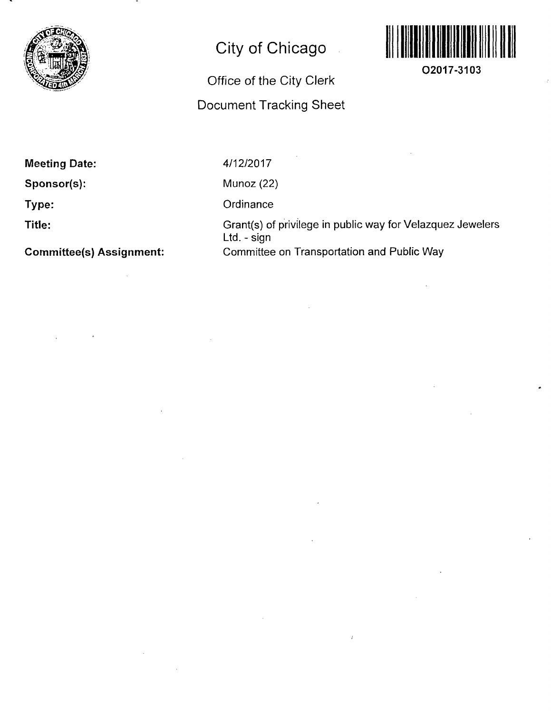

# City of Chicago

# Office of the City Clerk Document Tracking Sheet



**O2017-3103** 

Meeting Date:

Sponsor(s):

Type:

Title:

Committee(s) Assignment:

4/12/2017

Munoz (22)

**Ordinance** 

Grant(s) of privilege in public way for Velazquez Jewelers Ltd. - sign Committee on Transportation and Public Way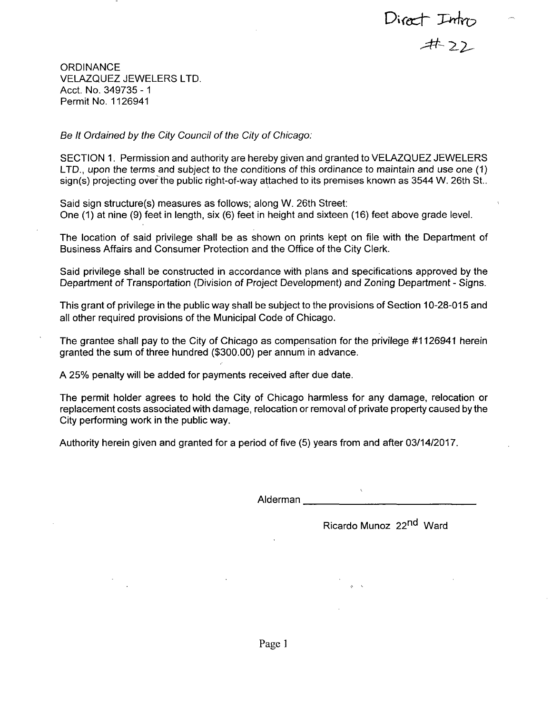Direct Intro<br>#22

**ORDINANCE** VELAZQUEZ JEWELERS LTD. Acct. No. 349735 - 1 Permit No. 1126941

Be It Ordained by the City Council of the City of Chicago:

SECTION 1. Permission and authority are hereby given and granted to VELAZQUEZ JEWELERS LTD., upon the terms and subject to the conditions of this ordinance to maintain and use one (1) sign(s) projecting over the public right-of-way attached to its premises known as 3544 W. 26th St..

Said sign structure(s) measures as follows; along W. 26th Street: One (1) at nine (9) feet in length, six (6) feet in height and sixteen (16) feet above grade level.

The location of said privilege shall be as shown on prints kept on file with the Department of Business Affairs and Consumer Protection and the Office of the City Clerk.

Said privilege shall be constructed in accordance with plans and specifications approved by the Department of Transportation (Division of Project Development) and Zoning Department - Signs.

This grant of privilege in the public way shall be subject to the provisions of Section 10-28-015 and all other required provisions of the Municipal Code of Chicago.

The grantee shall pay to the City of Chicago as compensation for the privilege #1126941 herein granted the sum of three hundred (\$300.00) per annum in advance.

A 25% penalty will be added for payments received after due date.

The permit holder agrees to hold the City of Chicago harmless for any damage, relocation or replacement costs associated with damage, relocation or removal of private property caused bythe City performing work in the public way.

Authority herein given and granted for a period of five (5) years from and after 03/14/2017.

Alderman

Ricardo Munoz 22<sup>nd</sup> Ward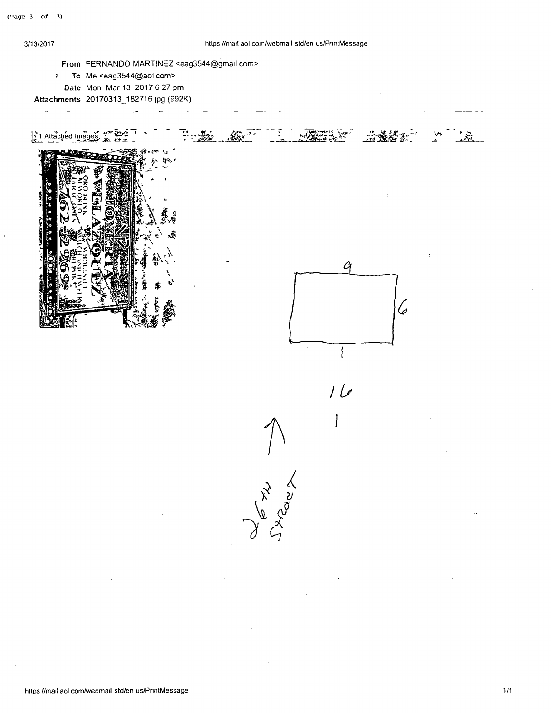#### 3/13/2017 htlps //mail aol com/webmail sld/en us/PrintMessage

From FERNANDO MARTINEZ <eag3544@gmail com> .' To Me <eag3544(gaol com> Date Mon Mar 13 2017 6 27 pm Attachments 20170313\_182716 jpg (992K)  $\overline{a}$  $\overline{a}$  $\frac{1}{2}$  1 Attached Images,  $\mathcal{C}_1$ 6  $16$ I A May